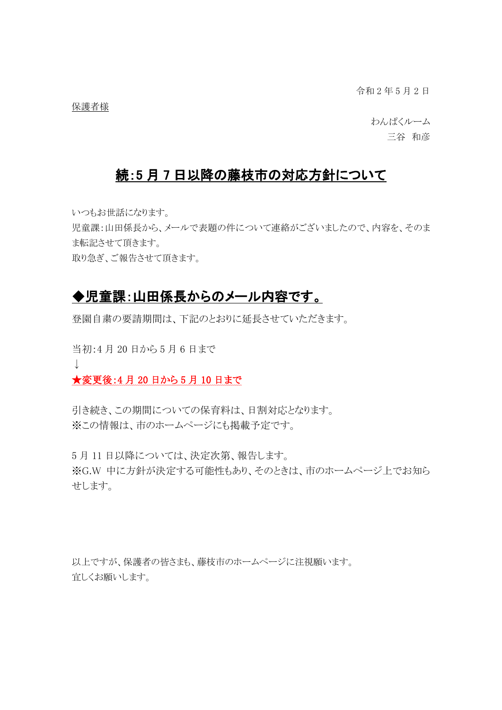令和 2 年 5 月 2 日

保護者様

わんぱくルーム 三谷 和彦

## 続:5 月 7 日以降の藤枝市の対応方針について

いつもお世話になります。

児童課:山田係長から、メールで表題の件について連絡がございましたので、内容を、そのま ま転記させて頂きます。

取り急ぎ、ご報告させて頂きます。

## ◆児童課:山田係長からのメール内容です。

登園自粛の要請期間は、下記のとおりに延長させていただきます。

当初:4 月 20 日から 5 月 6 日まで  $\perp$ 

★変更後:4月20日から5月10日まで

引き続き、この期間についての保育料は、日割対応となります。 ※この情報は、市のホームページにも掲載予定です。

5 月 11 日以降については、決定次第、報告します。 ※G.W 中に方針が決定する可能性もあり、そのときは、市のホームページ上でお知ら せします。

以上ですが、保護者の皆さまも、藤枝市のホームページに注視願います。 宜しくお願いします。